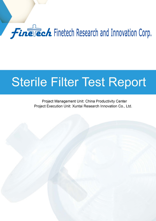## **Finalech** Finetech Research and Innovation Corp.

## Sterile Filter Test Report

Project Management Unit: China Productivity Center Project Execution Unit: Xuntai Research Innovation Co., Ltd.